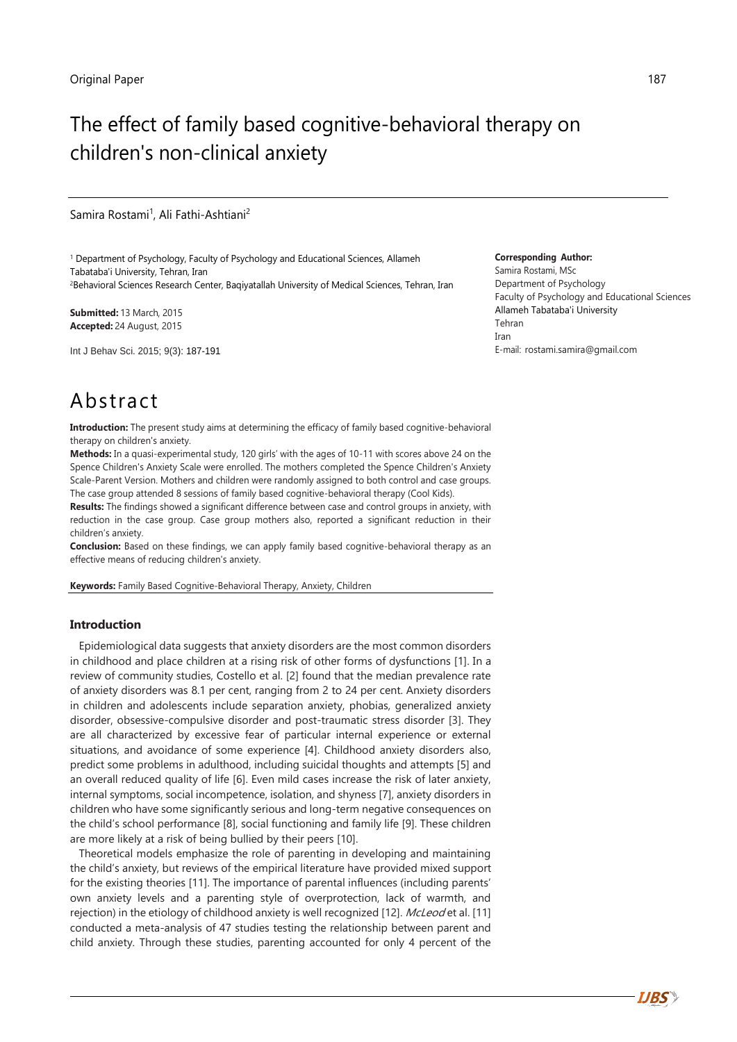# The effect of family based cognitive-behavioral therapy on children's non-clinical anxiety

Samira Rostami<sup>1</sup>, Ali Fathi-Ashtiani<sup>2</sup>

<sup>1</sup> Department of Psychology, Faculty of Psychology and Educational Sciences[, Allameh](https://www.google.com/url?sa=t&rct=j&q=&esrc=s&source=web&cd=1&cad=rja&uact=8&sqi=2&ved=0ahUKEwiql9zM3MTJAhXDMhoKHd47BbQQFggdMAA&url=http%3A%2F%2Fatu.ac.ir%2Fen&usg=AFQjCNG0euRW3PH8Uk6uTodHIqVT4V5qZg&sig2=vY8ZchbA7Mk0ygaoZT96cA&bvm=bv.108538919,d.d2s)  [Tabataba'i University,](https://www.google.com/url?sa=t&rct=j&q=&esrc=s&source=web&cd=1&cad=rja&uact=8&sqi=2&ved=0ahUKEwiql9zM3MTJAhXDMhoKHd47BbQQFggdMAA&url=http%3A%2F%2Fatu.ac.ir%2Fen&usg=AFQjCNG0euRW3PH8Uk6uTodHIqVT4V5qZg&sig2=vY8ZchbA7Mk0ygaoZT96cA&bvm=bv.108538919,d.d2s) Tehran, Iran <sup>2</sup>Behavioral Sciences Research Center, Baqiyatallah University of Medical Sciences, Tehran, Iran

**Submitted:** 13 March, 2015 **Accepted:** 24 August, 2015

Int J Behav Sci. 2015; 9(3): 187-191

#### **Corresponding Author:**

Samira Rostami, MSc Department of Psychology Faculty of Psychology and Educational Sciences [Allameh Tabataba'i University](https://www.google.com/url?sa=t&rct=j&q=&esrc=s&source=web&cd=1&cad=rja&uact=8&sqi=2&ved=0ahUKEwiql9zM3MTJAhXDMhoKHd47BbQQFggdMAA&url=http%3A%2F%2Fatu.ac.ir%2Fen&usg=AFQjCNG0euRW3PH8Uk6uTodHIqVT4V5qZg&sig2=vY8ZchbA7Mk0ygaoZT96cA&bvm=bv.108538919,d.d2s) Tehran Iran E-mail: rostami.samira@gmail.com

# Abstract

**Introduction:** The present study aims at determining the efficacy of family based cognitive-behavioral therapy on children's anxiety.

**Methods:** In a quasi-experimental study, 120 girls' with the ages of 10-11 with scores above 24 on the Spence Children's Anxiety Scale were enrolled. The mothers completed the Spence Children's Anxiety Scale-Parent Version. Mothers and children were randomly assigned to both control and case groups. The case group attended 8 sessions of family based cognitive-behavioral therapy (Cool Kids).

**Results:** The findings showed a significant difference between case and control groups in anxiety, with reduction in the case group. Case group mothers also, reported a significant reduction in their children's anxiety.

**Conclusion:** Based on these findings, we can apply family based cognitive-behavioral therapy as an effective means of reducing children's anxiety.

**Keywords:** Family Based Cognitive-Behavioral Therapy, Anxiety, Children

#### **Introduction**

Epidemiological data suggests that anxiety disorders are the most common disorders in childhood and place children at a rising risk of other forms of dysfunctions [1]. In a review of community studies, Costello et al. [2] found that the median prevalence rate of anxiety disorders was 8.1 per cent, ranging from 2 to 24 per cent. Anxiety disorders in children and adolescents include separation anxiety, phobias, generalized anxiety disorder, obsessive-compulsive disorder and post-traumatic stress disorder [3]. They are all characterized by excessive fear of particular internal experience or external situations, and avoidance of some experience [4]. Childhood anxiety disorders also, predict some problems in adulthood, including suicidal thoughts and attempts [5] and an overall reduced quality of life [6]. Even mild cases increase the risk of later anxiety, internal symptoms, social incompetence, isolation, and shyness [7], anxiety disorders in children who have some significantly serious and long-term negative consequences on the child's school performance [8], social functioning and family life [9]. These children are more likely at a risk of being bullied by their peers [10].

Theoretical models emphasize the role of parenting in developing and maintaining the child's anxiety, but reviews of the empirical literature have provided mixed support for the existing theories [11]. The importance of parental influences (including parents' own anxiety levels and a parenting style of overprotection, lack of warmth, and rejection) in the etiology of childhood anxiety is well recognized [12]. McLeod et al. [11] conducted a meta-analysis of 47 studies testing the relationship between parent and child anxiety. Through these studies, parenting accounted for only 4 percent of the

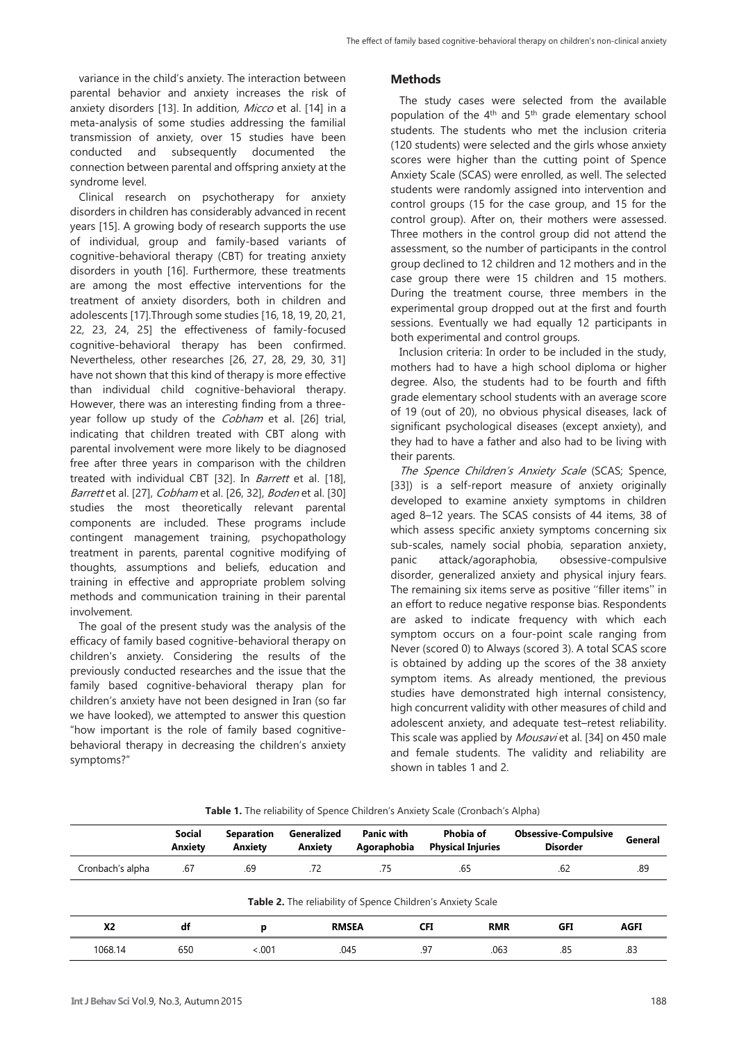variance in the child's anxiety. The interaction between parental behavior and anxiety increases the risk of anxiety disorders [13]. In addition, Micco et al. [14] in a meta-analysis of some studies addressing the familial transmission of anxiety, over 15 studies have been conducted and subsequently documented the connection between parental and offspring anxiety at the syndrome level.

Clinical research on psychotherapy for anxiety disorders in children has considerably advanced in recent years [15]. A growing body of research supports the use of individual, group and family-based variants of cognitive-behavioral therapy (CBT) for treating anxiety disorders in youth [16]. Furthermore, these treatments are among the most effective interventions for the treatment of anxiety disorders, both in children and adolescents [17].Through some studies [16, 18, 19, 20, 21, 22, 23, 24, 25] the effectiveness of family-focused cognitive-behavioral therapy has been confirmed. Nevertheless, other researches [26, 27, 28, 29, 30, 31] have not shown that this kind of therapy is more effective than individual child cognitive-behavioral therapy. However, there was an interesting finding from a threeyear follow up study of the *Cobham* et al. [26] trial, indicating that children treated with CBT along with parental involvement were more likely to be diagnosed free after three years in comparison with the children treated with individual CBT [32]. In *Barrett* et al. [18], Barrett et al. [27], Cobham et al. [26, 32], Boden et al. [30] studies the most theoretically relevant parental components are included. These programs include contingent management training, psychopathology treatment in parents, parental cognitive modifying of thoughts, assumptions and beliefs, education and training in effective and appropriate problem solving methods and communication training in their parental involvement.

The goal of the present study was the analysis of the efficacy of family based cognitive-behavioral therapy on children's anxiety. Considering the results of the previously conducted researches and the issue that the family based cognitive-behavioral therapy plan for children's anxiety have not been designed in Iran (so far we have looked), we attempted to answer this question "how important is the role of family based cognitivebehavioral therapy in decreasing the children's anxiety symptoms?"

## **Methods**

The study cases were selected from the available population of the 4<sup>th</sup> and 5<sup>th</sup> grade elementary school students. The students who met the inclusion criteria (120 students) were selected and the girls whose anxiety scores were higher than the cutting point of Spence Anxiety Scale (SCAS) were enrolled, as well. The selected students were randomly assigned into intervention and control groups (15 for the case group, and 15 for the control group). After on, their mothers were assessed. Three mothers in the control group did not attend the assessment, so the number of participants in the control group declined to 12 children and 12 mothers and in the case group there were 15 children and 15 mothers. During the treatment course, three members in the experimental group dropped out at the first and fourth sessions. Eventually we had equally 12 participants in both experimental and control groups.

Inclusion criteria: In order to be included in the study, mothers had to have a high school diploma or higher degree. Also, the students had to be fourth and fifth grade elementary school students with an average score of 19 (out of 20), no obvious physical diseases, lack of significant psychological diseases (except anxiety), and they had to have a father and also had to be living with their parents.

The Spence Children's Anxiety Scale (SCAS; Spence, [33]) is a self-report measure of anxiety originally developed to examine anxiety symptoms in children aged 8–12 years. The SCAS consists of 44 items, 38 of which assess specific anxiety symptoms concerning six sub-scales, namely social phobia, separation anxiety, panic attack/agoraphobia, obsessive-compulsive disorder, generalized anxiety and physical injury fears. The remaining six items serve as positive ''filler items'' in an effort to reduce negative response bias. Respondents are asked to indicate frequency with which each symptom occurs on a four-point scale ranging from Never (scored 0) to Always (scored 3). A total SCAS score is obtained by adding up the scores of the 38 anxiety symptom items. As already mentioned, the previous studies have demonstrated high internal consistency, high concurrent validity with other measures of child and adolescent anxiety, and adequate test–retest reliability. This scale was applied by Mousavi et al. [34] on 450 male and female students. The validity and reliability are shown in tables 1 and 2.

|                  | <b>Social</b><br>Anxiety | <b>Separation</b><br>Anxiety | Generalized<br>Anxiety | <b>Panic with</b><br>Agoraphobia | Phobia of<br><b>Physical Injuries</b>                       | <b>Obsessive-Compulsive</b><br><b>Disorder</b> | General |
|------------------|--------------------------|------------------------------|------------------------|----------------------------------|-------------------------------------------------------------|------------------------------------------------|---------|
| Cronbach's alpha | .67                      | .69                          | .72                    | .75                              | .65                                                         | .62                                            | .89     |
|                  |                          |                              |                        |                                  | Table 2. The reliability of Spence Children's Anxiety Scale |                                                |         |
| <b>X2</b>        | df                       | p                            | <b>RMSEA</b>           |                                  | <b>RMR</b><br><b>CFI</b>                                    | <b>GFI</b>                                     | AGFI    |
| 1068.14          | 650                      | < 0.01                       | .045                   |                                  | .97<br>.063                                                 | .85                                            | .83     |

**Table 1.** The reliability of Spence Children's Anxiety Scale (Cronbach's Alpha)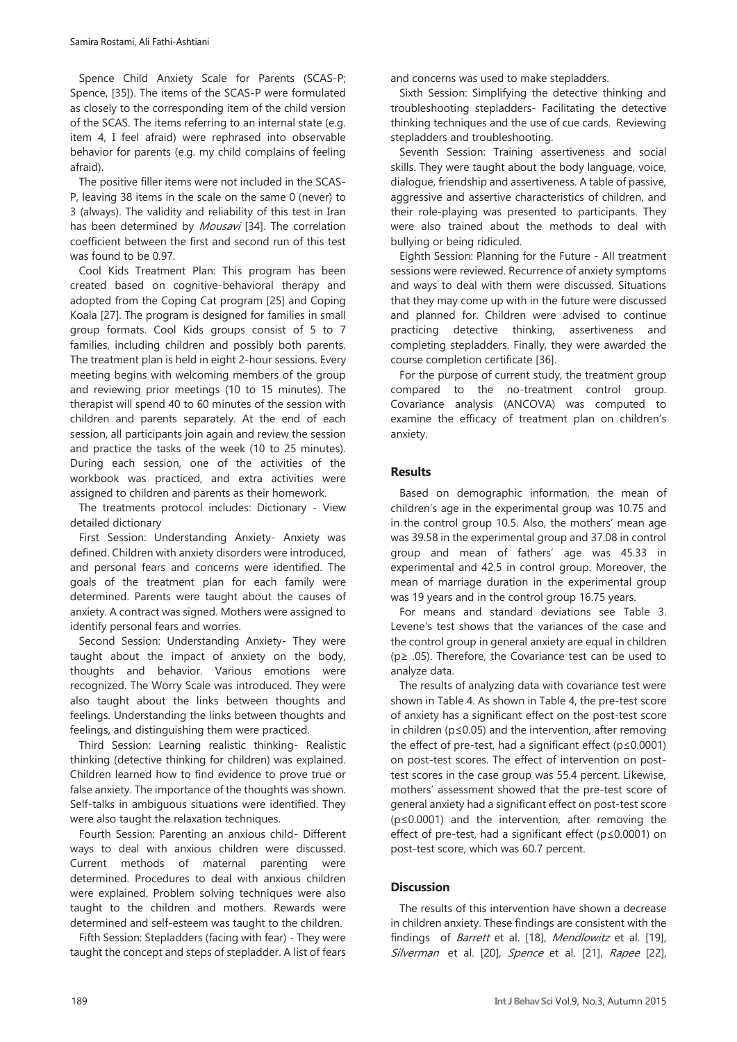Spence Child Anxiety Scale for Parents (SCAS-P; Spence, [35]). The items of the SCAS-P were formulated as closely to the corresponding item of the child version of the SCAS. The items referring to an internal state (e.g. item 4, I feel afraid) were rephrased into observable behavior for parents (e.g. my child complains of feeling afraid).

The positive filler items were not included in the SCAS-P, leaving 38 items in the scale on the same 0 (never) to 3 (always). The validity and reliability of this test in Iran has been determined by *Mousavi* [34]. The correlation coefficient between the first and second run of this test was found to be 0.97.

Cool Kids Treatment Plan: This program has been created based on cognitive-behavioral therapy and adopted from the Coping Cat program [25] and Coping Koala [27]. The program is designed for families in small group formats. Cool Kids groups consist of 5 to 7 families, including children and possibly both parents. The treatment plan is held in eight 2-hour sessions. Every meeting begins with welcoming members of the group and reviewing prior meetings (10 to 15 minutes). The therapist will spend 40 to 60 minutes of the session with children and parents separately. At the end of each session, all participants join again and review the session and practice the tasks of the week (10 to 25 minutes). During each session, one of the activities of the workbook was practiced, and extra activities were assigned to children and parents as their homework.

The treatments protocol includes: Dictionary - [View](http://www.google.com/dictionary?source=translation&hl=en&q=بحث:‏‎%20‎نتایج%20به%20دست%20آمده%20از%20پژوهش%20حاضر%20نشان%20داد%20که%20خانواده‌درمانی%20شناختی-رفتاری%20اضطراب%20کودکان%20را%20کاهش%20‏می‌دهد.%20این%20یافته%20با%20نتایج%20پژوهش‌های%20دادز%20و%20همکاران%20(1992)%20و%20بارت%20و%20همکاران%20(1996)%20که%20درمان%20شناختی-رفتاری%20‏خانواده‌محور%20را%20با%20کودک‌محور%20مقایسه%20کردند.%20هاوارد%20و%20کندال%20(1996)،%20مندلویتز%20و%20همکاران%20(1999)%20که%20درمان%20شناختی-‏رفتاری%20کودک-محور،%20کودک%20همراه%20با%20والد%20و%20فقط%20والد%20را%20مورد%20مقایسه%20قرار%20دادند،%20اسپنس%20و%20همکاران%20(2000)%20و%20راپی%20‏‏(2000)%20و%20ماناسیس%20و%20همکاران%20(2002)%20که%20خانواده‌درمانی%20شناختی-رفتاری%20را%20در%20قالب%20گروهی%20مورد%20بررسی%20قرار%20دادند،%20‏دگروت%20و%20همکاران%20(2007)،%20بودن%20و%20همکاران%20(2008)،%20سوج%20و%20همکاران%20(2009)%20و%20دودانگه%20(1388)%20همسو%20می‌باشد.‏‎%20‎این%20‏یافته‌ها%20مبین%20این%20مطلب%20هستند%20که%20خانواده‌درمانی%20شناختی-رفتاری%20می‌تواند%20هر%20سه%20جزء%20اضطراب%20(شناخت،%20احساس%20و%20‏رفتار)%20را%20تحت%20تأثیر%20قرار%20دهد%20و%20نیز%20می‌تواند%20در%20کنترل%20اضطراب%20و%20افزایش%20مهارت‌های%20مقابله‌ای%20از%20طریق%20آموزش%20تکنیک‌های%20‏تفکر%20واقع‌بینانه،%20حل%20مسأله،%20مهارت‌های%20اجتماعی%20و%20جرأت‌ورزی%20و%20مواجهه%20با%20ترس‌ها%20و%20نگرانی‌ها%20کمک%20کند.%20خانواده‌درمانی%20‏با%20در%20نظر%20گرفتن%20تعامل‌های%20میان%20اعضای%20خانواده%20و%20تأثیر%20رفتار%20و%20باورهای%20هریک%20از%20آنان%20بر%20دیگر%20اعضای%20خانواده،%20می‌تواند%20‏اثربخشی%20درمان‌های%20اختلالات%20اضطرابی%20را%20افزایش%20دهد%20و%20حتی%20اثرات%20بلند‌مدت‌تری%20را%20ایجاد%20نماید.%20تلفیق%20دو%20نوع%20درمان%20‏شناختی-رفتاری،%20که%20اثربخشی%20آن%20در%20مطالعات%20متعدد%20اثبات%20شده%20و%20خانواده‌درمانی،%20با%20در%20نظر%20گرفتن%20نقش%20مهم%20خانواده%20در%20‏ایجاد%20و%20حفظ%20اختلالات%20روانی%20دوران%20کودکی،%20ممکن%20است%20بهبود%20اضطراب%20در%20کودکان%20را%20تسریع%20نماید%20به%20طوری%20که%20علی‌رغم%20‏تعداد%20کم%20جلسات%20بتوان%20شاهد%20بهبود%20بسیاری%20از%20اجزاء%20اضطراب%20(شناخت،%20احساس%20و%20رف)  [detailed dictionary](http://www.google.com/dictionary?source=translation&hl=en&q=بحث:‏‎%20‎نتایج%20به%20دست%20آمده%20از%20پژوهش%20حاضر%20نشان%20داد%20که%20خانواده‌درمانی%20شناختی-رفتاری%20اضطراب%20کودکان%20را%20کاهش%20‏می‌دهد.%20این%20یافته%20با%20نتایج%20پژوهش‌های%20دادز%20و%20همکاران%20(1992)%20و%20بارت%20و%20همکاران%20(1996)%20که%20درمان%20شناختی-رفتاری%20‏خانواده‌محور%20را%20با%20کودک‌محور%20مقایسه%20کردند.%20هاوارد%20و%20کندال%20(1996)،%20مندلویتز%20و%20همکاران%20(1999)%20که%20درمان%20شناختی-‏رفتاری%20کودک-محور،%20کودک%20همراه%20با%20والد%20و%20فقط%20والد%20را%20مورد%20مقایسه%20قرار%20دادند،%20اسپنس%20و%20همکاران%20(2000)%20و%20راپی%20‏‏(2000)%20و%20ماناسیس%20و%20همکاران%20(2002)%20که%20خانواده‌درمانی%20شناختی-رفتاری%20را%20در%20قالب%20گروهی%20مورد%20بررسی%20قرار%20دادند،%20‏دگروت%20و%20همکاران%20(2007)،%20بودن%20و%20همکاران%20(2008)،%20سوج%20و%20همکاران%20(2009)%20و%20دودانگه%20(1388)%20همسو%20می‌باشد.‏‎%20‎این%20‏یافته‌ها%20مبین%20این%20مطلب%20هستند%20که%20خانواده‌درمانی%20شناختی-رفتاری%20می‌تواند%20هر%20سه%20جزء%20اضطراب%20(شناخت،%20احساس%20و%20‏رفتار)%20را%20تحت%20تأثیر%20قرار%20دهد%20و%20نیز%20می‌تواند%20در%20کنترل%20اضطراب%20و%20افزایش%20مهارت‌های%20مقابله‌ای%20از%20طریق%20آموزش%20تکنیک‌های%20‏تفکر%20واقع‌بینانه،%20حل%20مسأله،%20مهارت‌های%20اجتماعی%20و%20جرأت‌ورزی%20و%20مواجهه%20با%20ترس‌ها%20و%20نگرانی‌ها%20کمک%20کند.%20خانواده‌درمانی%20‏با%20در%20نظر%20گرفتن%20تعامل‌های%20میان%20اعضای%20خانواده%20و%20تأثیر%20رفتار%20و%20باورهای%20هریک%20از%20آنان%20بر%20دیگر%20اعضای%20خانواده،%20می‌تواند%20‏اثربخشی%20درمان‌های%20اختلالات%20اضطرابی%20را%20افزایش%20دهد%20و%20حتی%20اثرات%20بلند‌مدت‌تری%20را%20ایجاد%20نماید.%20تلفیق%20دو%20نوع%20درمان%20‏شناختی-رفتاری،%20که%20اثربخشی%20آن%20در%20مطالعات%20متعدد%20اثبات%20شده%20و%20خانواده‌درمانی،%20با%20در%20نظر%20گرفتن%20نقش%20مهم%20خانواده%20در%20‏ایجاد%20و%20حفظ%20اختلالات%20روانی%20دوران%20کودکی،%20ممکن%20است%20بهبود%20اضطراب%20در%20کودکان%20را%20تسریع%20نماید%20به%20طوری%20که%20علی‌رغم%20‏تعداد%20کم%20جلسات%20بتوان%20شاهد%20بهبود%20بسیاری%20از%20اجزاء%20اضطراب%20(شناخت،%20احساس%20و%20رف)

First Session: Understanding Anxiety- Anxiety was defined. Children with anxiety disorders were introduced, and personal fears and concerns were identified. The goals of the treatment plan for each family were determined. Parents were taught about the causes of anxiety. A contract was signed. Mothers were assigned to identify personal fears and worries.

Second Session: Understanding Anxiety- They were taught about the impact of anxiety on the body, thoughts and behavior. Various emotions were recognized. The Worry Scale was introduced. They were also taught about the links between thoughts and feelings. Understanding the links between thoughts and feelings, and distinguishing them were practiced.

Third Session: Learning realistic thinking- Realistic thinking (detective thinking for children) was explained. Children learned how to find evidence to prove true or false anxiety. The importance of the thoughts was shown. Self-talks in ambiguous situations were identified. They were also taught the relaxation techniques.

Fourth Session: Parenting an anxious child- Different ways to deal with anxious children were discussed. Current methods of maternal parenting were determined. Procedures to deal with anxious children were explained. Problem solving techniques were also taught to the children and mothers. Rewards were determined and self-esteem was taught to the children.

Fifth Session: Stepladders (facing with fear) - They were taught the concept and steps of stepladder. A list of fears and concerns was used to make stepladders.

Sixth Session: Simplifying the detective thinking and troubleshooting stepladders- Facilitating the detective thinking techniques and the use of cue cards. Reviewing stepladders and troubleshooting.

Seventh Session: Training assertiveness and social skills. They were taught about the body language, voice, dialogue, friendship and assertiveness. A table of passive, aggressive and assertive characteristics of children, and their role-playing was presented to participants. They were also trained about the methods to deal with bullying or being ridiculed.

Eighth Session: Planning for the Future - All treatment sessions were reviewed. Recurrence of anxiety symptoms and ways to deal with them were discussed. Situations that they may come up with in the future were discussed and planned for. Children were advised to continue practicing detective thinking, assertiveness and completing stepladders. Finally, they were awarded the course completion certificate [36].

For the purpose of current study, the treatment group compared to the no-treatment control group. Covariance analysis (ANCOVA) was computed to examine the efficacy of treatment plan on children's anxiety.

# **Results**

Based on demographic information, the mean of children's age in the experimental group was 10.75 and in the control group 10.5. Also, the mothers' mean age was 39.58 in the experimental group and 37.08 in control group and mean of fathers' age was 45.33 in experimental and 42.5 in control group. Moreover, the mean of marriage duration in the experimental group was 19 years and in the control group 16.75 years.

For means and standard deviations see Table 3. Levene's test shows that the variances of the case and the control group in general anxiety are equal in children (p≥ .05). Therefore, the Covariance test can be used to analyze data.

The results of analyzing data with covariance test were shown in Table 4. As shown in Table 4, the pre-test score of anxiety has a significant effect on the post-test score in children (p≤0.05) and the intervention, after removing the effect of pre-test, had a significant effect (p≤0.0001) on post-test scores. The effect of intervention on posttest scores in the case group was 55.4 percent. Likewise, mothers' assessment showed that the pre-test score of general anxiety had a significant effect on post-test score (p≤0.0001) and the intervention, after removing the effect of pre-test, had a significant effect (p≤0.0001) on post-test score, which was 60.7 percent.

# **Discussion**

The results of this intervention have shown a decrease in children anxiety. These findings are consistent with the findings of *Barrett* et al. [18], *Mendlowitz* et al. [19], Silverman et al. [20], Spence et al. [21], Rapee [22],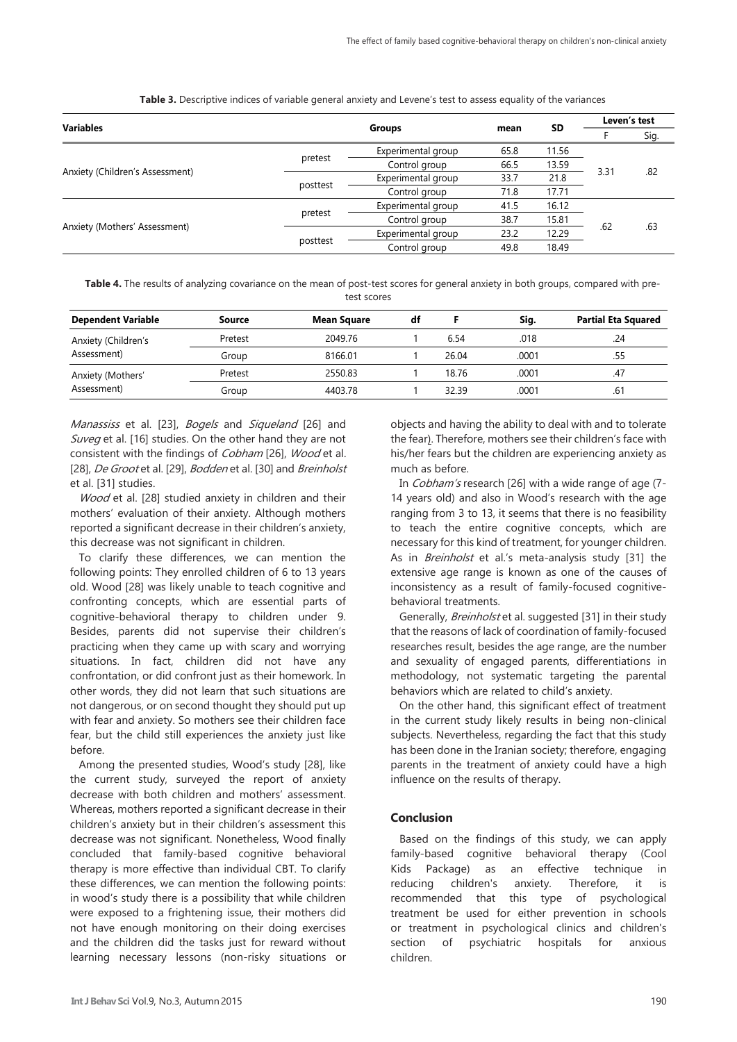|                                 | <b>Groups</b> |                    |           |       | Leven's test |     |
|---------------------------------|---------------|--------------------|-----------|-------|--------------|-----|
| <b>Variables</b>                |               | mean               | <b>SD</b> |       | Sig.         |     |
|                                 |               | Experimental group | 65.8      | 11.56 |              | .82 |
|                                 | pretest       | Control group      | 66.5      | 13.59 | 3.31         |     |
| Anxiety (Children's Assessment) | posttest      | Experimental group | 33.7      | 21.8  |              |     |
|                                 |               | Control group      | 71.8      | 17.71 |              |     |
|                                 |               | Experimental group | 41.5      | 16.12 | .62          | .63 |
|                                 | pretest       | Control group      | 38.7      | 15.81 |              |     |
| Anxiety (Mothers' Assessment)   |               | Experimental group | 23.2      | 12.29 |              |     |
|                                 | posttest      | Control group      | 49.8      | 18.49 |              |     |

**Table 3.** Descriptive indices of variable general anxiety and Levene's test to assess equality of the variances

**Table 4.** The results of analyzing covariance on the mean of post-test scores for general anxiety in both groups, compared with pretest scores

| <b>Dependent Variable</b> | Source  | <b>Mean Square</b> | df |       | Sig.  | <b>Partial Eta Squared</b> |
|---------------------------|---------|--------------------|----|-------|-------|----------------------------|
| Anxiety (Children's       | Pretest | 2049.76            |    | 6.54  | .018  | .24                        |
| Assessment)               | Group   | 8166.01            |    | 26.04 | .0001 | .55                        |
| Anxiety (Mothers'         | Pretest | 2550.83            |    | 18.76 | .0001 | .47                        |
| Assessment)               | Group   | 4403.78            |    | 32.39 | .0001 | .61                        |

Manassiss et al. [23], Bogels and Siqueland [26] and Suveg et al. [16] studies. On the other hand they are not consistent with the findings of Cobham [26], Wood et al. [28], De Groot et al. [29], Bodden et al. [30] and Breinholst et al. [31] studies.

Wood et al. [28] studied anxiety in children and their mothers' evaluation of their anxiety. Although mothers reported a significant decrease in their children's anxiety, this decrease was not significant in children.

To clarify these differences, we can mention the following points: They enrolled children of 6 to 13 years old. Wood [28] was likely unable to teach cognitive and confronting concepts, which are essential parts of cognitive-behavioral therapy to children under 9. Besides, parents did not supervise their children's practicing when they came up with scary and worrying situations. In fact, children did not have any confrontation, or did confront just as their homework. In other words, they did not learn that such situations are not dangerous, or on second thought they should put up with fear and anxiety. So mothers see their children face fear, but the child still experiences the anxiety just like before.

Among the presented studies, Wood's study [28], like the current study, surveyed the report of anxiety decrease with both children and mothers' assessment. Whereas, mothers reported a significant decrease in their children's anxiety but in their children's assessment this decrease was not significant. Nonetheless, Wood finally concluded that family-based cognitive behavioral therapy is more effective than individual CBT. To clarify these differences, we can mention the following points: in wood's study there is a possibility that while children were exposed to a frightening issue, their mothers did not have enough monitoring on their doing exercises and the children did the tasks just for reward without learning necessary lessons (non-risky situations or objects and having the ability to deal with and to tolerate the fear). Therefore, mothers see their children's face with his/her fears but the children are experiencing anxiety as much as before.

In Cobham's research [26] with a wide range of age (7- 14 years old) and also in Wood's research with the age ranging from 3 to 13, it seems that there is no feasibility to teach the entire cognitive concepts, which are necessary for this kind of treatment, for younger children. As in *Breinholst* et al.'s meta-analysis study [31] the extensive age range is known as one of the causes of inconsistency as a result of family-focused cognitivebehavioral treatments.

Generally, *Breinholst* et al. suggested [31] in their study that the reasons of lack of coordination of family-focused researches result, besides the age range, are the number and sexuality of engaged parents, differentiations in methodology, not systematic targeting the parental behaviors which are related to child's anxiety.

On the other hand, this significant effect of treatment in the current study likely results in being non-clinical subjects. Nevertheless, regarding the fact that this study has been done in the Iranian society; therefore, engaging parents in the treatment of anxiety could have a high influence on the results of therapy.

### **Conclusion**

Based on the findings of this study, we can apply family-based cognitive behavioral therapy (Cool Kids Package) as an effective technique in reducing children's anxiety. Therefore, it is recommended that this type of psychological treatment be used for either prevention in schools or treatment in psychological clinics and children's section of psychiatric hospitals for anxious children.